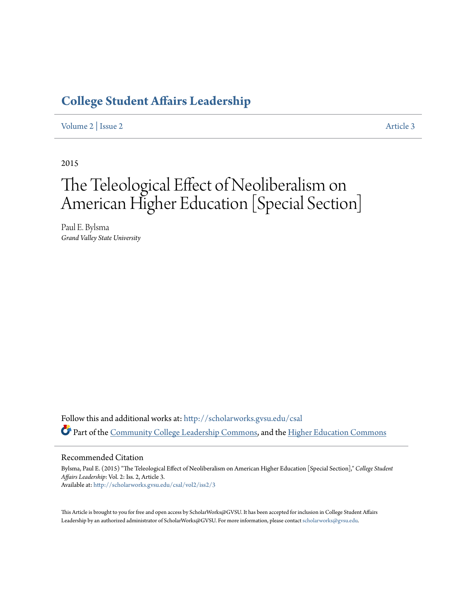## **[College Student Affairs Leadership](http://scholarworks.gvsu.edu/csal?utm_source=scholarworks.gvsu.edu%2Fcsal%2Fvol2%2Fiss2%2F3&utm_medium=PDF&utm_campaign=PDFCoverPages)**

[Volume 2](http://scholarworks.gvsu.edu/csal/vol2?utm_source=scholarworks.gvsu.edu%2Fcsal%2Fvol2%2Fiss2%2F3&utm_medium=PDF&utm_campaign=PDFCoverPages) | [Issue 2](http://scholarworks.gvsu.edu/csal/vol2/iss2?utm_source=scholarworks.gvsu.edu%2Fcsal%2Fvol2%2Fiss2%2F3&utm_medium=PDF&utm_campaign=PDFCoverPages) [Article 3](http://scholarworks.gvsu.edu/csal/vol2/iss2/3?utm_source=scholarworks.gvsu.edu%2Fcsal%2Fvol2%2Fiss2%2F3&utm_medium=PDF&utm_campaign=PDFCoverPages)

2015

# The Teleological Effect of Neoliberalism on American Higher Education [Special Section]

Paul E. Bylsma *Grand Valley State University*

Follow this and additional works at: [http://scholarworks.gvsu.edu/csal](http://scholarworks.gvsu.edu/csal?utm_source=scholarworks.gvsu.edu%2Fcsal%2Fvol2%2Fiss2%2F3&utm_medium=PDF&utm_campaign=PDFCoverPages) Part of the [Community College Leadership Commons](http://network.bepress.com/hgg/discipline/1039?utm_source=scholarworks.gvsu.edu%2Fcsal%2Fvol2%2Fiss2%2F3&utm_medium=PDF&utm_campaign=PDFCoverPages), and the [Higher Education Commons](http://network.bepress.com/hgg/discipline/1245?utm_source=scholarworks.gvsu.edu%2Fcsal%2Fvol2%2Fiss2%2F3&utm_medium=PDF&utm_campaign=PDFCoverPages)

#### Recommended Citation

Bylsma, Paul E. (2015) "The Teleological Effect of Neoliberalism on American Higher Education [Special Section]," *College Student Affairs Leadership*: Vol. 2: Iss. 2, Article 3. Available at: [http://scholarworks.gvsu.edu/csal/vol2/iss2/3](http://scholarworks.gvsu.edu/csal/vol2/iss2/3?utm_source=scholarworks.gvsu.edu%2Fcsal%2Fvol2%2Fiss2%2F3&utm_medium=PDF&utm_campaign=PDFCoverPages)

This Article is brought to you for free and open access by ScholarWorks@GVSU. It has been accepted for inclusion in College Student Affairs Leadership by an authorized administrator of ScholarWorks@GVSU. For more information, please contact [scholarworks@gvsu.edu](mailto:scholarworks@gvsu.edu).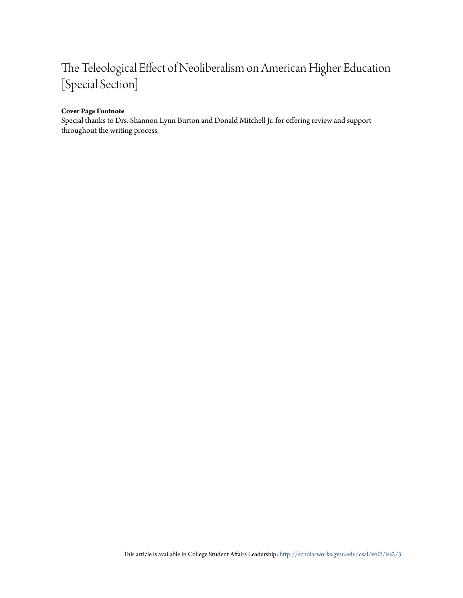## The Teleological Effect of Neoliberalism on American Higher Education [Special Section]

#### **Cover Page Footnote**

Special thanks to Drs. Shannon Lynn Burton and Donald Mitchell Jr. for offering review and support throughout the writing process.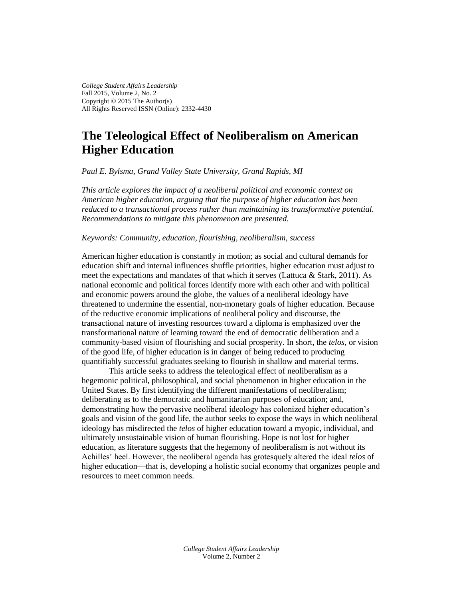*College Student Affairs Leadership* Fall 2015, Volume 2, No. 2 Copyright © 2015 The Author(s) All Rights Reserved ISSN (Online): 2332-4430

### **The Teleological Effect of Neoliberalism on American Higher Education**

*Paul E. Bylsma, Grand Valley State University, Grand Rapids, MI*

*This article explores the impact of a neoliberal political and economic context on American higher education, arguing that the purpose of higher education has been reduced to a transactional process rather than maintaining its transformative potential. Recommendations to mitigate this phenomenon are presented.* 

#### *Keywords: Community, education, flourishing, neoliberalism, success*

American higher education is constantly in motion; as social and cultural demands for education shift and internal influences shuffle priorities, higher education must adjust to meet the expectations and mandates of that which it serves (Lattuca & Stark, 2011). As national economic and political forces identify more with each other and with political and economic powers around the globe, the values of a neoliberal ideology have threatened to undermine the essential, non-monetary goals of higher education. Because of the reductive economic implications of neoliberal policy and discourse, the transactional nature of investing resources toward a diploma is emphasized over the transformational nature of learning toward the end of democratic deliberation and a community-based vision of flourishing and social prosperity. In short, the *telos*, or vision of the good life, of higher education is in danger of being reduced to producing quantifiably successful graduates seeking to flourish in shallow and material terms.

This article seeks to address the teleological effect of neoliberalism as a hegemonic political, philosophical, and social phenomenon in higher education in the United States. By first identifying the different manifestations of neoliberalism; deliberating as to the democratic and humanitarian purposes of education; and, demonstrating how the pervasive neoliberal ideology has colonized higher education's goals and vision of the good life, the author seeks to expose the ways in which neoliberal ideology has misdirected the *telos* of higher education toward a myopic, individual, and ultimately unsustainable vision of human flourishing. Hope is not lost for higher education, as literature suggests that the hegemony of neoliberalism is not without its Achilles' heel. However, the neoliberal agenda has grotesquely altered the ideal *telos* of higher education—that is, developing a holistic social economy that organizes people and resources to meet common needs.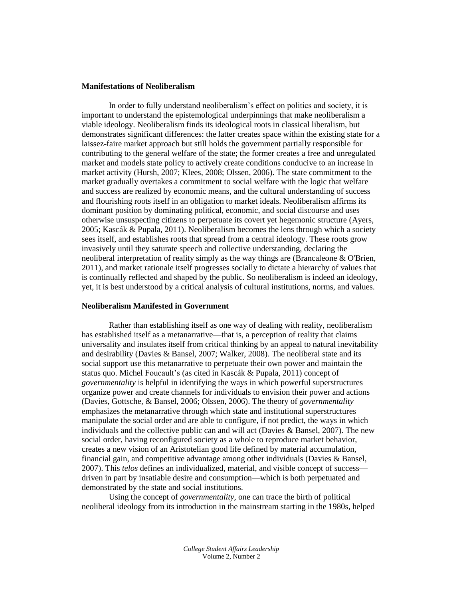#### **Manifestations of Neoliberalism**

In order to fully understand neoliberalism's effect on politics and society, it is important to understand the epistemological underpinnings that make neoliberalism a viable ideology. Neoliberalism finds its ideological roots in classical liberalism, but demonstrates significant differences: the latter creates space within the existing state for a laissez-faire market approach but still holds the government partially responsible for contributing to the general welfare of the state; the former creates a free and unregulated market and models state policy to actively create conditions conducive to an increase in market activity (Hursh, 2007; Klees, 2008; Olssen, 2006). The state commitment to the market gradually overtakes a commitment to social welfare with the logic that welfare and success are realized by economic means, and the cultural understanding of success and flourishing roots itself in an obligation to market ideals. Neoliberalism affirms its dominant position by dominating political, economic, and social discourse and uses otherwise unsuspecting citizens to perpetuate its covert yet hegemonic structure (Ayers, 2005; Kascák & Pupala, 2011). Neoliberalism becomes the lens through which a society sees itself, and establishes roots that spread from a central ideology. These roots grow invasively until they saturate speech and collective understanding, declaring the neoliberal interpretation of reality simply as the way things are (Brancaleone & O'Brien, 2011), and market rationale itself progresses socially to dictate a hierarchy of values that is continually reflected and shaped by the public. So neoliberalism is indeed an ideology, yet, it is best understood by a critical analysis of cultural institutions, norms, and values.

#### **Neoliberalism Manifested in Government**

Rather than establishing itself as one way of dealing with reality, neoliberalism has established itself as a metanarrative—that is, a perception of reality that claims universality and insulates itself from critical thinking by an appeal to natural inevitability and desirability (Davies & Bansel, 2007; Walker, 2008). The neoliberal state and its social support use this metanarrative to perpetuate their own power and maintain the status quo. Michel Foucault's (as cited in Kascák & Pupala, 2011) concept of *governmentality* is helpful in identifying the ways in which powerful superstructures organize power and create channels for individuals to envision their power and actions (Davies, Gottsche, & Bansel, 2006; Olssen, 2006). The theory of *governmentality*  emphasizes the metanarrative through which state and institutional superstructures manipulate the social order and are able to configure, if not predict, the ways in which individuals and the collective public can and will act (Davies  $\&$  Bansel, 2007). The new social order, having reconfigured society as a whole to reproduce market behavior, creates a new vision of an Aristotelian good life defined by material accumulation, financial gain, and competitive advantage among other individuals (Davies & Bansel, 2007). This *telos* defines an individualized, material, and visible concept of success driven in part by insatiable desire and consumption—which is both perpetuated and demonstrated by the state and social institutions.

Using the concept of *governmentality*, one can trace the birth of political neoliberal ideology from its introduction in the mainstream starting in the 1980s, helped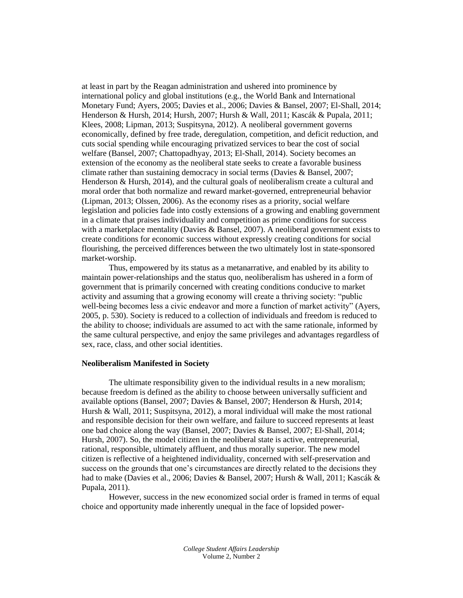at least in part by the Reagan administration and ushered into prominence by international policy and global institutions (e.g., the World Bank and International Monetary Fund; Ayers, 2005; Davies et al., 2006; Davies & Bansel, 2007; El-Shall, 2014; Henderson & Hursh, 2014; Hursh, 2007; Hursh & Wall, 2011; Kascák & Pupala, 2011; Klees, 2008; Lipman, 2013; Suspitsyna, 2012). A neoliberal government governs economically, defined by free trade, deregulation, competition, and deficit reduction, and cuts social spending while encouraging privatized services to bear the cost of social welfare (Bansel, 2007; Chattopadhyay, 2013; El-Shall, 2014). Society becomes an extension of the economy as the neoliberal state seeks to create a favorable business climate rather than sustaining democracy in social terms (Davies & Bansel, 2007; Henderson & Hursh, 2014), and the cultural goals of neoliberalism create a cultural and moral order that both normalize and reward market-governed, entrepreneurial behavior (Lipman, 2013; Olssen, 2006). As the economy rises as a priority, social welfare legislation and policies fade into costly extensions of a growing and enabling government in a climate that praises individuality and competition as prime conditions for success with a marketplace mentality (Davies & Bansel, 2007). A neoliberal government exists to create conditions for economic success without expressly creating conditions for social flourishing, the perceived differences between the two ultimately lost in state-sponsored market-worship.

Thus, empowered by its status as a metanarrative, and enabled by its ability to maintain power-relationships and the status quo, neoliberalism has ushered in a form of government that is primarily concerned with creating conditions conducive to market activity and assuming that a growing economy will create a thriving society: "public well-being becomes less a civic endeavor and more a function of market activity" (Ayers, 2005, p. 530). Society is reduced to a collection of individuals and freedom is reduced to the ability to choose; individuals are assumed to act with the same rationale, informed by the same cultural perspective, and enjoy the same privileges and advantages regardless of sex, race, class, and other social identities.

#### **Neoliberalism Manifested in Society**

The ultimate responsibility given to the individual results in a new moralism; because freedom is defined as the ability to choose between universally sufficient and available options (Bansel, 2007; Davies & Bansel, 2007; Henderson & Hursh, 2014; Hursh & Wall, 2011; Suspitsyna, 2012), a moral individual will make the most rational and responsible decision for their own welfare, and failure to succeed represents at least one bad choice along the way (Bansel, 2007; Davies & Bansel, 2007; El-Shall, 2014; Hursh, 2007). So, the model citizen in the neoliberal state is active, entrepreneurial, rational, responsible, ultimately affluent, and thus morally superior. The new model citizen is reflective of a heightened individuality, concerned with self-preservation and success on the grounds that one's circumstances are directly related to the decisions they had to make (Davies et al., 2006; Davies & Bansel, 2007; Hursh & Wall, 2011; Kascák & Pupala, 2011).

However, success in the new economized social order is framed in terms of equal choice and opportunity made inherently unequal in the face of lopsided power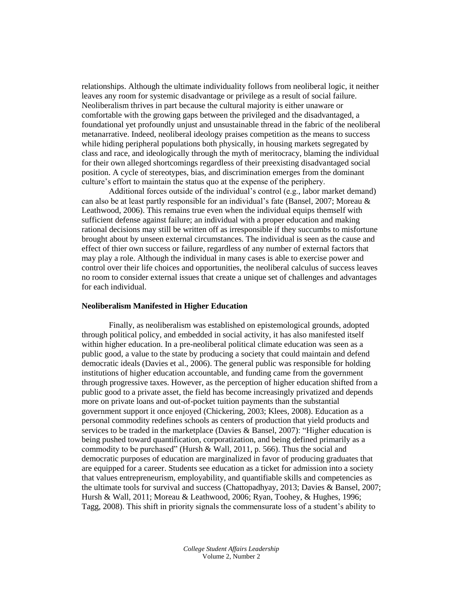relationships. Although the ultimate individuality follows from neoliberal logic, it neither leaves any room for systemic disadvantage or privilege as a result of social failure. Neoliberalism thrives in part because the cultural majority is either unaware or comfortable with the growing gaps between the privileged and the disadvantaged, a foundational yet profoundly unjust and unsustainable thread in the fabric of the neoliberal metanarrative. Indeed, neoliberal ideology praises competition as the means to success while hiding peripheral populations both physically, in housing markets segregated by class and race, and ideologically through the myth of meritocracy, blaming the individual for their own alleged shortcomings regardless of their preexisting disadvantaged social position. A cycle of stereotypes, bias, and discrimination emerges from the dominant culture's effort to maintain the status quo at the expense of the periphery.

Additional forces outside of the individual's control (e.g., labor market demand) can also be at least partly responsible for an individual's fate (Bansel, 2007; Moreau & Leathwood, 2006). This remains true even when the individual equips themself with sufficient defense against failure; an individual with a proper education and making rational decisions may still be written off as irresponsible if they succumbs to misfortune brought about by unseen external circumstances. The individual is seen as the cause and effect of thier own success or failure, regardless of any number of external factors that may play a role. Although the individual in many cases is able to exercise power and control over their life choices and opportunities, the neoliberal calculus of success leaves no room to consider external issues that create a unique set of challenges and advantages for each individual.

#### **Neoliberalism Manifested in Higher Education**

Finally, as neoliberalism was established on epistemological grounds, adopted through political policy, and embedded in social activity, it has also manifested itself within higher education. In a pre-neoliberal political climate education was seen as a public good, a value to the state by producing a society that could maintain and defend democratic ideals (Davies et al., 2006). The general public was responsible for holding institutions of higher education accountable, and funding came from the government through progressive taxes. However, as the perception of higher education shifted from a public good to a private asset, the field has become increasingly privatized and depends more on private loans and out-of-pocket tuition payments than the substantial government support it once enjoyed (Chickering, 2003; Klees, 2008). Education as a personal commodity redefines schools as centers of production that yield products and services to be traded in the marketplace (Davies & Bansel, 2007): "Higher education is being pushed toward quantification, corporatization, and being defined primarily as a commodity to be purchased" (Hursh & Wall, 2011, p. 566). Thus the social and democratic purposes of education are marginalized in favor of producing graduates that are equipped for a career. Students see education as a ticket for admission into a society that values entrepreneurism, employability, and quantifiable skills and competencies as the ultimate tools for survival and success (Chattopadhyay, 2013; Davies & Bansel, 2007; Hursh & Wall, 2011; Moreau & Leathwood, 2006; Ryan, Toohey, & Hughes, 1996; Tagg, 2008). This shift in priority signals the commensurate loss of a student's ability to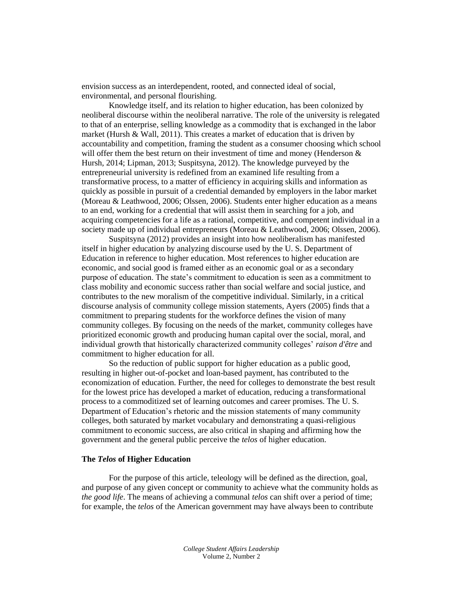envision success as an interdependent, rooted, and connected ideal of social, environmental, and personal flourishing.

Knowledge itself, and its relation to higher education, has been colonized by neoliberal discourse within the neoliberal narrative. The role of the university is relegated to that of an enterprise, selling knowledge as a commodity that is exchanged in the labor market (Hursh & Wall, 2011). This creates a market of education that is driven by accountability and competition, framing the student as a consumer choosing which school will offer them the best return on their investment of time and money (Henderson  $\&$ Hursh, 2014; Lipman, 2013; Suspitsyna, 2012). The knowledge purveyed by the entrepreneurial university is redefined from an examined life resulting from a transformative process, to a matter of efficiency in acquiring skills and information as quickly as possible in pursuit of a credential demanded by employers in the labor market (Moreau & Leathwood, 2006; Olssen, 2006). Students enter higher education as a means to an end, working for a credential that will assist them in searching for a job, and acquiring competencies for a life as a rational, competitive, and competent individual in a society made up of individual entrepreneurs (Moreau & Leathwood, 2006; Olssen, 2006).

Suspitsyna (2012) provides an insight into how neoliberalism has manifested itself in higher education by analyzing discourse used by the U. S. Department of Education in reference to higher education. Most references to higher education are economic, and social good is framed either as an economic goal or as a secondary purpose of education. The state's commitment to education is seen as a commitment to class mobility and economic success rather than social welfare and social justice, and contributes to the new moralism of the competitive individual. Similarly, in a critical discourse analysis of community college mission statements, Ayers (2005) finds that a commitment to preparing students for the workforce defines the vision of many community colleges. By focusing on the needs of the market, community colleges have prioritized economic growth and producing human capital over the social, moral, and individual growth that historically characterized community colleges' *raison d'être* and commitment to higher education for all.

So the reduction of public support for higher education as a public good, resulting in higher out-of-pocket and loan-based payment, has contributed to the economization of education. Further, the need for colleges to demonstrate the best result for the lowest price has developed a market of education, reducing a transformational process to a commoditized set of learning outcomes and career promises. The U. S. Department of Education's rhetoric and the mission statements of many community colleges, both saturated by market vocabulary and demonstrating a quasi-religious commitment to economic success, are also critical in shaping and affirming how the government and the general public perceive the *telos* of higher education.

#### **The** *Telos* **of Higher Education**

For the purpose of this article, teleology will be defined as the direction, goal, and purpose of any given concept or community to achieve what the community holds as *the good life*. The means of achieving a communal *telos* can shift over a period of time; for example, the *telos* of the American government may have always been to contribute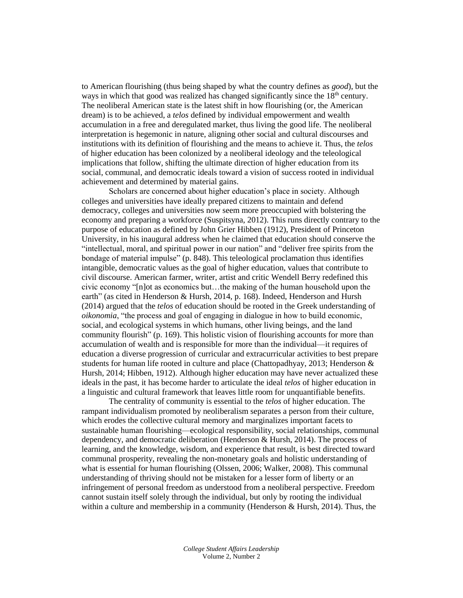to American flourishing (thus being shaped by what the country defines as *good*), but the ways in which that good was realized has changed significantly since the  $18<sup>th</sup>$  century. The neoliberal American state is the latest shift in how flourishing (or, the American dream) is to be achieved, a *telos* defined by individual empowerment and wealth accumulation in a free and deregulated market, thus living the good life. The neoliberal interpretation is hegemonic in nature, aligning other social and cultural discourses and institutions with its definition of flourishing and the means to achieve it. Thus, the *telos* of higher education has been colonized by a neoliberal ideology and the teleological implications that follow, shifting the ultimate direction of higher education from its social, communal, and democratic ideals toward a vision of success rooted in individual achievement and determined by material gains.

Scholars are concerned about higher education's place in society. Although colleges and universities have ideally prepared citizens to maintain and defend democracy, colleges and universities now seem more preoccupied with bolstering the economy and preparing a workforce (Suspitsyna, 2012). This runs directly contrary to the purpose of education as defined by John Grier Hibben (1912), President of Princeton University, in his inaugural address when he claimed that education should conserve the "intellectual, moral, and spiritual power in our nation" and "deliver free spirits from the bondage of material impulse" (p. 848). This teleological proclamation thus identifies intangible, democratic values as the goal of higher education, values that contribute to civil discourse. American farmer, writer, artist and critic Wendell Berry redefined this civic economy "[n]ot as economics but…the making of the human household upon the earth" (as cited in Henderson & Hursh, 2014, p. 168). Indeed, Henderson and Hursh (2014) argued that the *telos* of education should be rooted in the Greek understanding of *oikonomia*, "the process and goal of engaging in dialogue in how to build economic, social, and ecological systems in which humans, other living beings, and the land community flourish" (p. 169). This holistic vision of flourishing accounts for more than accumulation of wealth and is responsible for more than the individual—it requires of education a diverse progression of curricular and extracurricular activities to best prepare students for human life rooted in culture and place (Chattopadhyay, 2013; Henderson & Hursh, 2014; Hibben, 1912). Although higher education may have never actualized these ideals in the past, it has become harder to articulate the ideal *telos* of higher education in a linguistic and cultural framework that leaves little room for unquantifiable benefits.

The centrality of community is essential to the *telos* of higher education. The rampant individualism promoted by neoliberalism separates a person from their culture, which erodes the collective cultural memory and marginalizes important facets to sustainable human flourishing—ecological responsibility, social relationships, communal dependency, and democratic deliberation (Henderson & Hursh, 2014). The process of learning, and the knowledge, wisdom, and experience that result, is best directed toward communal prosperity, revealing the non-monetary goals and holistic understanding of what is essential for human flourishing (Olssen, 2006; Walker, 2008). This communal understanding of thriving should not be mistaken for a lesser form of liberty or an infringement of personal freedom as understood from a neoliberal perspective. Freedom cannot sustain itself solely through the individual, but only by rooting the individual within a culture and membership in a community (Henderson  $& Hursh$ , 2014). Thus, the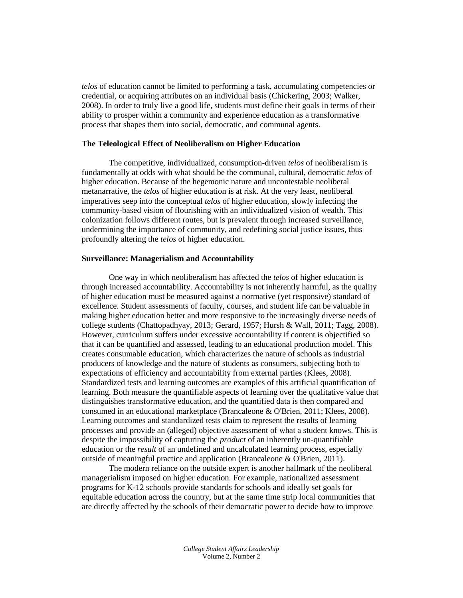*telos* of education cannot be limited to performing a task, accumulating competencies or credential, or acquiring attributes on an individual basis (Chickering, 2003; Walker, 2008). In order to truly live a good life, students must define their goals in terms of their ability to prosper within a community and experience education as a transformative process that shapes them into social, democratic, and communal agents.

#### **The Teleological Effect of Neoliberalism on Higher Education**

The competitive, individualized, consumption-driven *telos* of neoliberalism is fundamentally at odds with what should be the communal, cultural, democratic *telos* of higher education. Because of the hegemonic nature and uncontestable neoliberal metanarrative, the *telos* of higher education is at risk. At the very least, neoliberal imperatives seep into the conceptual *telos* of higher education, slowly infecting the community-based vision of flourishing with an individualized vision of wealth. This colonization follows different routes, but is prevalent through increased surveillance, undermining the importance of community, and redefining social justice issues, thus profoundly altering the *telos* of higher education.

#### **Surveillance: Managerialism and Accountability**

One way in which neoliberalism has affected the *telos* of higher education is through increased accountability. Accountability is not inherently harmful, as the quality of higher education must be measured against a normative (yet responsive) standard of excellence. Student assessments of faculty, courses, and student life can be valuable in making higher education better and more responsive to the increasingly diverse needs of college students (Chattopadhyay, 2013; Gerard, 1957; Hursh & Wall, 2011; Tagg, 2008). However, curriculum suffers under excessive accountability if content is objectified so that it can be quantified and assessed, leading to an educational production model. This creates consumable education, which characterizes the nature of schools as industrial producers of knowledge and the nature of students as consumers, subjecting both to expectations of efficiency and accountability from external parties (Klees, 2008). Standardized tests and learning outcomes are examples of this artificial quantification of learning. Both measure the quantifiable aspects of learning over the qualitative value that distinguishes transformative education, and the quantified data is then compared and consumed in an educational marketplace (Brancaleone & O'Brien, 2011; Klees, 2008). Learning outcomes and standardized tests claim to represent the results of learning processes and provide an (alleged) objective assessment of what a student knows. This is despite the impossibility of capturing the *product* of an inherently un-quantifiable education or the *result* of an undefined and uncalculated learning process, especially outside of meaningful practice and application (Brancaleone & O'Brien, 2011).

The modern reliance on the outside expert is another hallmark of the neoliberal managerialism imposed on higher education. For example, nationalized assessment programs for K-12 schools provide standards for schools and ideally set goals for equitable education across the country, but at the same time strip local communities that are directly affected by the schools of their democratic power to decide how to improve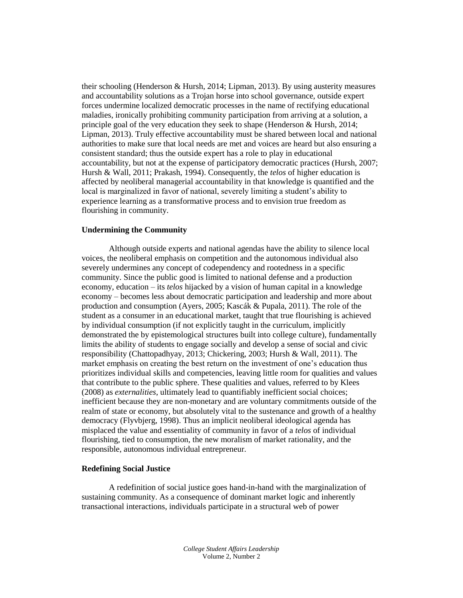their schooling (Henderson & Hursh, 2014; Lipman, 2013). By using austerity measures and accountability solutions as a Trojan horse into school governance, outside expert forces undermine localized democratic processes in the name of rectifying educational maladies, ironically prohibiting community participation from arriving at a solution, a principle goal of the very education they seek to shape (Henderson & Hursh, 2014; Lipman, 2013). Truly effective accountability must be shared between local and national authorities to make sure that local needs are met and voices are heard but also ensuring a consistent standard; thus the outside expert has a role to play in educational accountability, but not at the expense of participatory democratic practices (Hursh, 2007; Hursh & Wall, 2011; Prakash, 1994). Consequently, the *telos* of higher education is affected by neoliberal managerial accountability in that knowledge is quantified and the local is marginalized in favor of national, severely limiting a student's ability to experience learning as a transformative process and to envision true freedom as flourishing in community.

#### **Undermining the Community**

Although outside experts and national agendas have the ability to silence local voices, the neoliberal emphasis on competition and the autonomous individual also severely undermines any concept of codependency and rootedness in a specific community. Since the public good is limited to national defense and a production economy, education – its *telos* hijacked by a vision of human capital in a knowledge economy – becomes less about democratic participation and leadership and more about production and consumption (Ayers, 2005; Kascák & Pupala, 2011). The role of the student as a consumer in an educational market, taught that true flourishing is achieved by individual consumption (if not explicitly taught in the curriculum, implicitly demonstrated the by epistemological structures built into college culture), fundamentally limits the ability of students to engage socially and develop a sense of social and civic responsibility (Chattopadhyay, 2013; Chickering, 2003; Hursh & Wall, 2011). The market emphasis on creating the best return on the investment of one's education thus prioritizes individual skills and competencies, leaving little room for qualities and values that contribute to the public sphere. These qualities and values, referred to by Klees (2008) as *externalities*, ultimately lead to quantifiably inefficient social choices; inefficient because they are non-monetary and are voluntary commitments outside of the realm of state or economy, but absolutely vital to the sustenance and growth of a healthy democracy (Flyvbjerg, 1998). Thus an implicit neoliberal ideological agenda has misplaced the value and essentiality of community in favor of a *telos* of individual flourishing, tied to consumption, the new moralism of market rationality, and the responsible, autonomous individual entrepreneur.

#### **Redefining Social Justice**

A redefinition of social justice goes hand-in-hand with the marginalization of sustaining community. As a consequence of dominant market logic and inherently transactional interactions, individuals participate in a structural web of power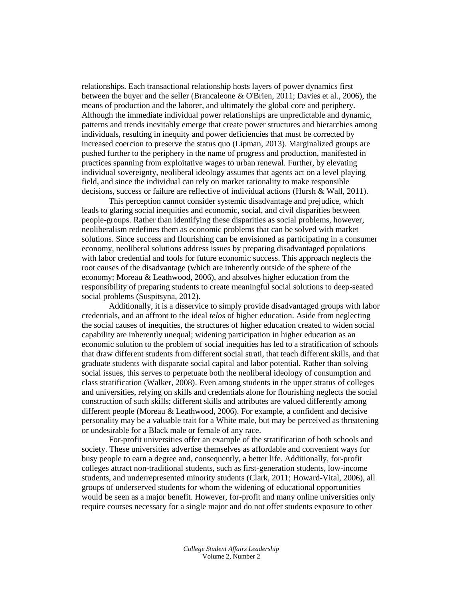relationships. Each transactional relationship hosts layers of power dynamics first between the buyer and the seller (Brancaleone & O'Brien, 2011; Davies et al., 2006), the means of production and the laborer, and ultimately the global core and periphery. Although the immediate individual power relationships are unpredictable and dynamic, patterns and trends inevitably emerge that create power structures and hierarchies among individuals, resulting in inequity and power deficiencies that must be corrected by increased coercion to preserve the status quo (Lipman, 2013). Marginalized groups are pushed further to the periphery in the name of progress and production, manifested in practices spanning from exploitative wages to urban renewal. Further, by elevating individual sovereignty, neoliberal ideology assumes that agents act on a level playing field, and since the individual can rely on market rationality to make responsible decisions, success or failure are reflective of individual actions (Hursh & Wall, 2011).

This perception cannot consider systemic disadvantage and prejudice, which leads to glaring social inequities and economic, social, and civil disparities between people-groups. Rather than identifying these disparities as social problems, however, neoliberalism redefines them as economic problems that can be solved with market solutions. Since success and flourishing can be envisioned as participating in a consumer economy, neoliberal solutions address issues by preparing disadvantaged populations with labor credential and tools for future economic success. This approach neglects the root causes of the disadvantage (which are inherently outside of the sphere of the economy; Moreau & Leathwood, 2006), and absolves higher education from the responsibility of preparing students to create meaningful social solutions to deep-seated social problems (Suspitsyna, 2012).

Additionally, it is a disservice to simply provide disadvantaged groups with labor credentials, and an affront to the ideal *telos* of higher education. Aside from neglecting the social causes of inequities, the structures of higher education created to widen social capability are inherently unequal; widening participation in higher education as an economic solution to the problem of social inequities has led to a stratification of schools that draw different students from different social strati, that teach different skills, and that graduate students with disparate social capital and labor potential. Rather than solving social issues, this serves to perpetuate both the neoliberal ideology of consumption and class stratification (Walker, 2008). Even among students in the upper stratus of colleges and universities, relying on skills and credentials alone for flourishing neglects the social construction of such skills; different skills and attributes are valued differently among different people (Moreau & Leathwood, 2006). For example, a confident and decisive personality may be a valuable trait for a White male, but may be perceived as threatening or undesirable for a Black male or female of any race.

For-profit universities offer an example of the stratification of both schools and society. These universities advertise themselves as affordable and convenient ways for busy people to earn a degree and, consequently, a better life. Additionally, for-profit colleges attract non-traditional students, such as first-generation students, low-income students, and underrepresented minority students (Clark, 2011; Howard-Vital, 2006), all groups of underserved students for whom the widening of educational opportunities would be seen as a major benefit. However, for-profit and many online universities only require courses necessary for a single major and do not offer students exposure to other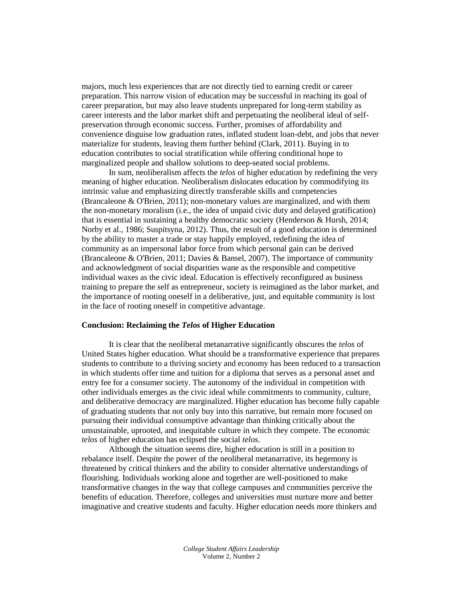majors, much less experiences that are not directly tied to earning credit or career preparation. This narrow vision of education may be successful in reaching its goal of career preparation, but may also leave students unprepared for long-term stability as career interests and the labor market shift and perpetuating the neoliberal ideal of selfpreservation through economic success. Further, promises of affordability and convenience disguise low graduation rates, inflated student loan-debt, and jobs that never materialize for students, leaving them further behind (Clark, 2011). Buying in to education contributes to social stratification while offering conditional hope to marginalized people and shallow solutions to deep-seated social problems.

In sum, neoliberalism affects the *telos* of higher education by redefining the very meaning of higher education. Neoliberalism dislocates education by commodifying its intrinsic value and emphasizing directly transferable skills and competencies (Brancaleone & O'Brien, 2011); non-monetary values are marginalized, and with them the non-monetary moralism (i.e., the idea of unpaid civic duty and delayed gratification) that is essential in sustaining a healthy democratic society (Henderson & Hursh, 2014; Norby et al., 1986; Suspitsyna, 2012). Thus, the result of a good education is determined by the ability to master a trade or stay happily employed, redefining the idea of community as an impersonal labor force from which personal gain can be derived (Brancaleone & O'Brien, 2011; Davies & Bansel, 2007). The importance of community and acknowledgment of social disparities wane as the responsible and competitive individual waxes as the civic ideal. Education is effectively reconfigured as business training to prepare the self as entrepreneur, society is reimagined as the labor market, and the importance of rooting oneself in a deliberative, just, and equitable community is lost in the face of rooting oneself in competitive advantage.

#### **Conclusion: Reclaiming the** *Telos* **of Higher Education**

It is clear that the neoliberal metanarrative significantly obscures the *telos* of United States higher education. What should be a transformative experience that prepares students to contribute to a thriving society and economy has been reduced to a transaction in which students offer time and tuition for a diploma that serves as a personal asset and entry fee for a consumer society. The autonomy of the individual in competition with other individuals emerges as the civic ideal while commitments to community, culture, and deliberative democracy are marginalized. Higher education has become fully capable of graduating students that not only buy into this narrative, but remain more focused on pursuing their individual consumptive advantage than thinking critically about the unsustainable, uprooted, and inequitable culture in which they compete. The economic *telos* of higher education has eclipsed the social *telos*.

Although the situation seems dire, higher education is still in a position to rebalance itself. Despite the power of the neoliberal metanarrative, its hegemony is threatened by critical thinkers and the ability to consider alternative understandings of flourishing. Individuals working alone and together are well-positioned to make transformative changes in the way that college campuses and communities perceive the benefits of education. Therefore, colleges and universities must nurture more and better imaginative and creative students and faculty. Higher education needs more thinkers and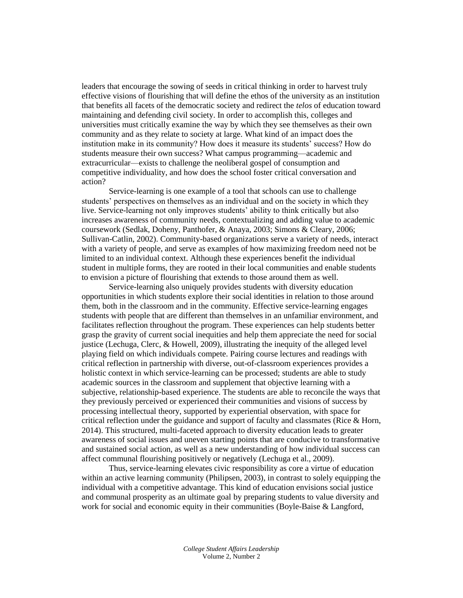leaders that encourage the sowing of seeds in critical thinking in order to harvest truly effective visions of flourishing that will define the ethos of the university as an institution that benefits all facets of the democratic society and redirect the *telos* of education toward maintaining and defending civil society. In order to accomplish this, colleges and universities must critically examine the way by which they see themselves as their own community and as they relate to society at large. What kind of an impact does the institution make in its community? How does it measure its students' success? How do students measure their own success? What campus programming—academic and extracurricular—exists to challenge the neoliberal gospel of consumption and competitive individuality, and how does the school foster critical conversation and action?

Service-learning is one example of a tool that schools can use to challenge students' perspectives on themselves as an individual and on the society in which they live. Service-learning not only improves students' ability to think critically but also increases awareness of community needs, contextualizing and adding value to academic coursework (Sedlak, Doheny, Panthofer, & Anaya, 2003; Simons & Cleary, 2006; Sullivan-Catlin, 2002). Community-based organizations serve a variety of needs, interact with a variety of people, and serve as examples of how maximizing freedom need not be limited to an individual context. Although these experiences benefit the individual student in multiple forms, they are rooted in their local communities and enable students to envision a picture of flourishing that extends to those around them as well.

Service-learning also uniquely provides students with diversity education opportunities in which students explore their social identities in relation to those around them, both in the classroom and in the community. Effective service-learning engages students with people that are different than themselves in an unfamiliar environment, and facilitates reflection throughout the program. These experiences can help students better grasp the gravity of current social inequities and help them appreciate the need for social justice (Lechuga, Clerc, & Howell, 2009), illustrating the inequity of the alleged level playing field on which individuals compete. Pairing course lectures and readings with critical reflection in partnership with diverse, out-of-classroom experiences provides a holistic context in which service-learning can be processed; students are able to study academic sources in the classroom and supplement that objective learning with a subjective, relationship-based experience. The students are able to reconcile the ways that they previously perceived or experienced their communities and visions of success by processing intellectual theory, supported by experiential observation, with space for critical reflection under the guidance and support of faculty and classmates (Rice  $\&$  Horn, 2014). This structured, multi-faceted approach to diversity education leads to greater awareness of social issues and uneven starting points that are conducive to transformative and sustained social action, as well as a new understanding of how individual success can affect communal flourishing positively or negatively (Lechuga et al., 2009).

Thus, service-learning elevates civic responsibility as core a virtue of education within an active learning community (Philipsen, 2003), in contrast to solely equipping the individual with a competitive advantage. This kind of education envisions social justice and communal prosperity as an ultimate goal by preparing students to value diversity and work for social and economic equity in their communities (Boyle-Baise & Langford,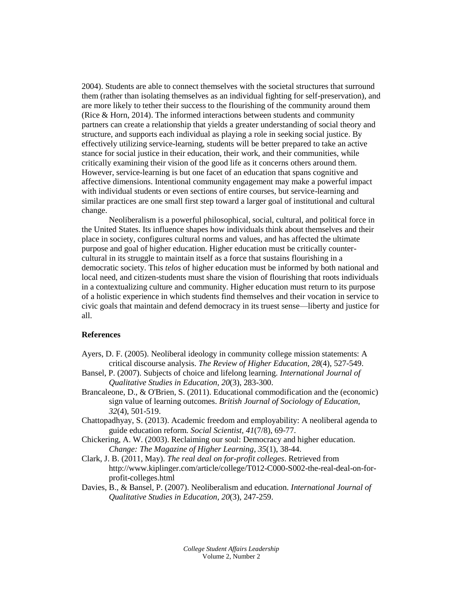2004). Students are able to connect themselves with the societal structures that surround them (rather than isolating themselves as an individual fighting for self-preservation), and are more likely to tether their success to the flourishing of the community around them (Rice & Horn, 2014). The informed interactions between students and community partners can create a relationship that yields a greater understanding of social theory and structure, and supports each individual as playing a role in seeking social justice. By effectively utilizing service-learning, students will be better prepared to take an active stance for social justice in their education, their work, and their communities, while critically examining their vision of the good life as it concerns others around them. However, service-learning is but one facet of an education that spans cognitive and affective dimensions. Intentional community engagement may make a powerful impact with individual students or even sections of entire courses, but service-learning and similar practices are one small first step toward a larger goal of institutional and cultural change.

Neoliberalism is a powerful philosophical, social, cultural, and political force in the United States. Its influence shapes how individuals think about themselves and their place in society, configures cultural norms and values, and has affected the ultimate purpose and goal of higher education. Higher education must be critically countercultural in its struggle to maintain itself as a force that sustains flourishing in a democratic society. This *telos* of higher education must be informed by both national and local need, and citizen-students must share the vision of flourishing that roots individuals in a contextualizing culture and community. Higher education must return to its purpose of a holistic experience in which students find themselves and their vocation in service to civic goals that maintain and defend democracy in its truest sense—liberty and justice for all.

#### **References**

- Ayers, D. F. (2005). Neoliberal ideology in community college mission statements: A critical discourse analysis. *The Review of Higher Education, 28*(4), 527-549.
- Bansel, P. (2007). Subjects of choice and lifelong learning. *International Journal of Qualitative Studies in Education, 20*(3), 283-300.
- Brancaleone, D., & O'Brien, S. (2011). Educational commodification and the (economic) sign value of learning outcomes. *British Journal of Sociology of Education, 32*(4), 501-519.
- Chattopadhyay, S. (2013). Academic freedom and employability: A neoliberal agenda to guide education reform. *Social Scientist, 41*(7/8), 69-77.
- Chickering, A. W. (2003). Reclaiming our soul: Democracy and higher education. *Change: The Magazine of Higher Learning, 35*(1), 38-44.
- Clark, J. B. (2011, May). *The real deal on for-profit colleges*. Retrieved from http://www.kiplinger.com/article/college/T012-C000-S002-the-real-deal-on-forprofit-colleges.html
- Davies, B., & Bansel, P. (2007). Neoliberalism and education. *International Journal of Qualitative Studies in Education, 20*(3), 247-259.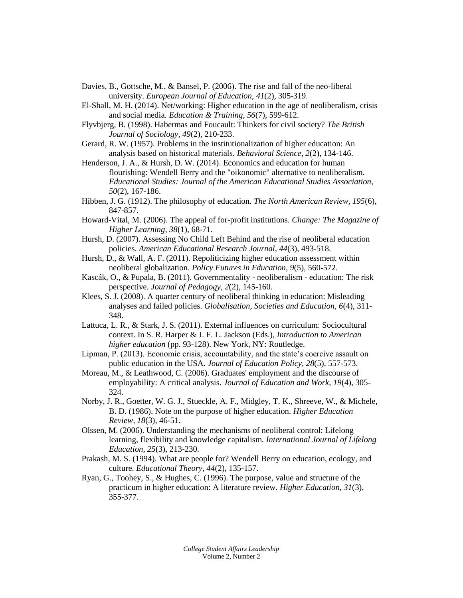- Davies, B., Gottsche, M., & Bansel, P. (2006). The rise and fall of the neo-liberal university. *European Journal of Education, 41*(2), 305-319.
- El-Shall, M. H. (2014). Net/working: Higher education in the age of neoliberalism, crisis and social media. *Education & Training, 56*(7), 599-612.
- Flyvbjerg, B. (1998). Habermas and Foucault: Thinkers for civil society? *The British Journal of Sociology, 49*(2), 210-233.
- Gerard, R. W. (1957). Problems in the institutionalization of higher education: An analysis based on historical materials. *Behavioral Science, 2*(2), 134-146.
- Henderson, J. A., & Hursh, D. W. (2014). Economics and education for human flourishing: Wendell Berry and the "oikonomic" alternative to neoliberalism. *Educational Studies: Journal of the American Educational Studies Association, 50*(2), 167-186.
- Hibben, J. G. (1912). The philosophy of education. *The North American Review, 195*(6), 847-857.
- Howard-Vital, M. (2006). The appeal of for-profit institutions. *Change: The Magazine of Higher Learning, 38*(1), 68-71.
- Hursh, D. (2007). Assessing No Child Left Behind and the rise of neoliberal education policies. *American Educational Research Journal, 44*(3), 493-518.
- Hursh, D., & Wall, A. F. (2011). Repoliticizing higher education assessment within neoliberal globalization. *Policy Futures in Education, 9*(5), 560-572.
- Kascák, O., & Pupala, B. (2011). Governmentality neoliberalism education: The risk perspective. *Journal of Pedagogy, 2*(2), 145-160.
- Klees, S. J. (2008). A quarter century of neoliberal thinking in education: Misleading analyses and failed policies. *Globalisation, Societies and Education, 6*(4), 311- 348.
- Lattuca, L. R., & Stark, J. S. (2011). External influences on curriculum: Sociocultural context. In S. R. Harper & J. F. L. Jackson (Eds.), *Introduction to American higher education* (pp. 93-128). New York, NY: Routledge.
- Lipman, P. (2013). Economic crisis, accountability, and the state's coercive assault on public education in the USA. *Journal of Education Policy, 28*(5), 557-573.
- Moreau, M., & Leathwood, C. (2006). Graduates' employment and the discourse of employability: A critical analysis. *Journal of Education and Work, 19*(4), 305- 324.
- Norby, J. R., Goetter, W. G. J., Stueckle, A. F., Midgley, T. K., Shreeve, W., & Michele, B. D. (1986). Note on the purpose of higher education. *Higher Education Review, 18*(3), 46-51.
- Olssen, M. (2006). Understanding the mechanisms of neoliberal control: Lifelong learning, flexibility and knowledge capitalism. *International Journal of Lifelong Education, 25*(3), 213-230.
- Prakash, M. S. (1994). What are people for? Wendell Berry on education, ecology, and culture. *Educational Theory, 44*(2), 135-157.
- Ryan, G., Toohey, S., & Hughes, C. (1996). The purpose, value and structure of the practicum in higher education: A literature review. *Higher Education, 31*(3), 355-377.